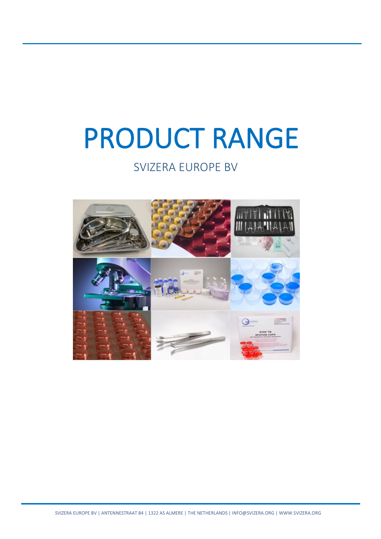# PRODUCT RANGE

# SVIZERA EUROPE BV

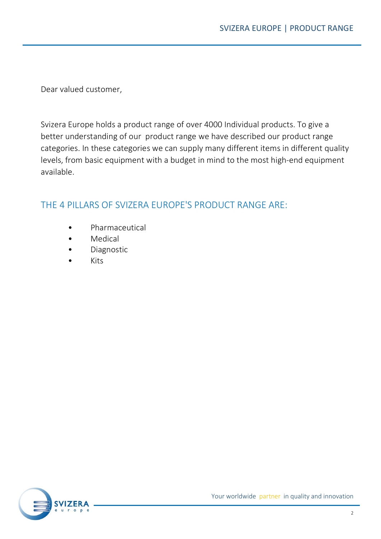Dear valued customer,

Svizera Europe holds a product range of over 4000 Individual products. To give a better understanding of our product range we have described our product range categories. In these categories we can supply many different items in different quality levels, from basic equipment with a budget in mind to the most high-end equipment available.

#### THE 4 PILLARS OF SVIZERA EUROPE'S PRODUCT RANGE ARE:

- **Pharmaceutical**
- **Medical**
- Diagnostic
- Kits

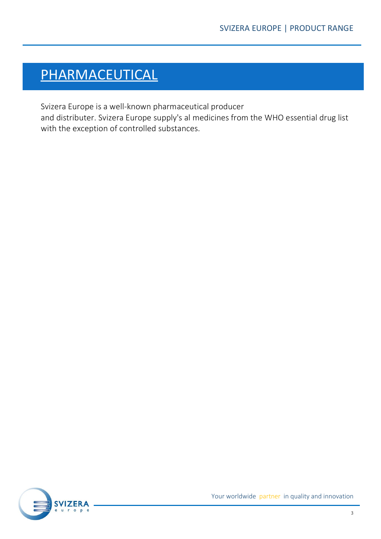# PHARMACEUTICAL

Svizera Europe is a well-known pharmaceutical producer

and distributer. Svizera Europe supply's al medicines from the WHO essential drug list with the exception of controlled substances.

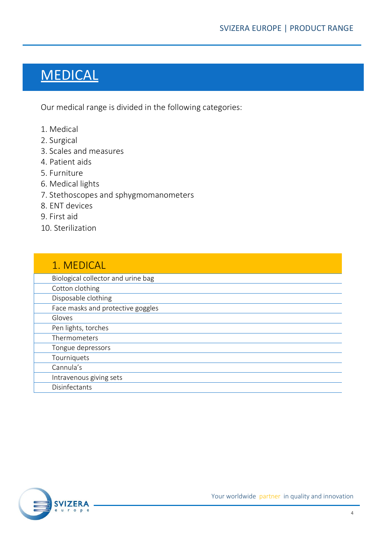# MEDICAL

Our medical range is divided in the following categories:

- 1. Medical
- 2. Surgical
- 3. Scales and measures
- 4. Patient aids
- 5. Furniture
- 6. Medical lights
- 7. Stethoscopes and sphygmomanometers
- 8. ENT devices
- 9. First aid
- 10. Sterilization

| 1. MEDICAL                         |
|------------------------------------|
| Biological collector and urine bag |
| Cotton clothing                    |
| Disposable clothing                |
| Face masks and protective goggles  |
| Gloves                             |
| Pen lights, torches                |
| Thermometers                       |
| Tongue depressors                  |
| Tourniquets                        |
| Cannula's                          |
| Intravenous giving sets            |
| Disinfectants                      |

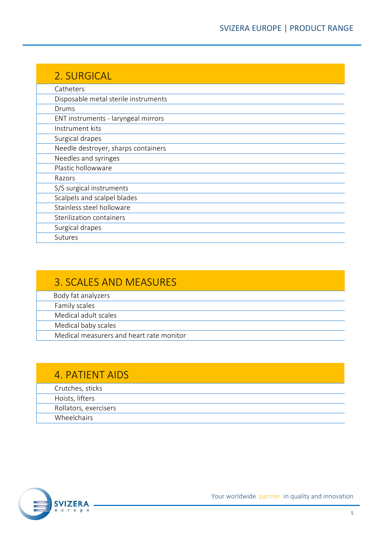| 2. SURGICAL                          |
|--------------------------------------|
| Catheters                            |
| Disposable metal sterile instruments |
| Drums                                |
| ENT instruments - laryngeal mirrors  |
| Instrument kits                      |
| Surgical drapes                      |
| Needle destroyer, sharps containers  |
| Needles and syringes                 |
| Plastic hollowware                   |
| Razors                               |
| S/S surgical instruments             |
| Scalpels and scalpel blades          |
| Stainless steel holloware            |
| Sterilization containers             |
| Surgical drapes                      |
| Sutures                              |

## 3. SCALES AND MEASURES

Body fat analyzers

Family scales

Medical adult scales

Medical baby scales

Medical measurers and heart rate monitor

### 4. PATIENT AIDS

| Crutches, sticks      |
|-----------------------|
| Hoists, lifters       |
| Rollators, exercisers |
| Wheelchairs           |

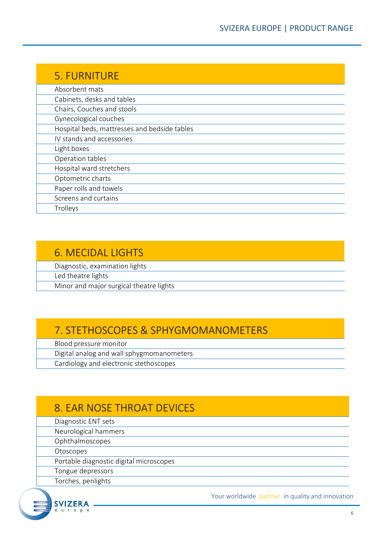| 5. FURNITURE                                 |
|----------------------------------------------|
| Absorbent mats                               |
| Cabinets, desks and tables                   |
| Chairs, Couches and stools                   |
| Gynecological couches                        |
| Hospital beds, mattresses and bedside tables |
| IV stands and accessories                    |
| Light boxes                                  |
| Operation tables                             |
| Hospital ward stretchers                     |
| Optometric charts                            |
| Paper rolls and towels                       |
| Screens and curtains                         |
| Trolleys                                     |

#### 6. MECIDAL LIGHTS

Diagnostic, examination lights

Led theatre lights

Minor and major surgical theatre lights

## 7. STETHOSCOPES & SPHYGMOMANOMETERS

Blood pressure monitor

Digital analog and wall sphygmomanometers

Cardiology and electronic stethoscopes

# 8. EAR NOSE THROAT DEVICES

Diagnostic ENT sets

Neurological hammers

Ophthalmoscopes

Otoscopes

Portable diagnostic digital microscopes

Tongue depressors

Torches, penlights

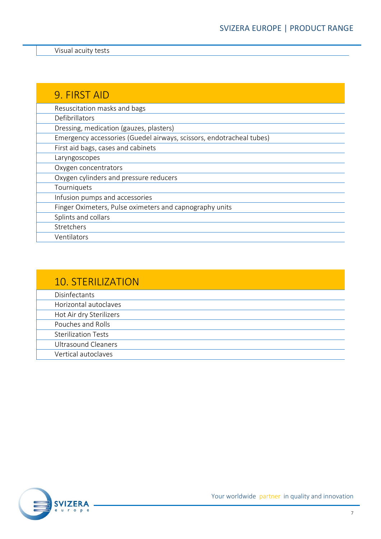Visual acuity tests

| 9. FIRST AID                                                         |
|----------------------------------------------------------------------|
| Resuscitation masks and bags                                         |
| Defibrillators                                                       |
| Dressing, medication (gauzes, plasters)                              |
| Emergency accessories (Guedel airways, scissors, endotracheal tubes) |
| First aid bags, cases and cabinets                                   |
| Laryngoscopes                                                        |
| Oxygen concentrators                                                 |
| Oxygen cylinders and pressure reducers                               |
| Tourniquets                                                          |
| Infusion pumps and accessories                                       |
| Finger Oximeters, Pulse oximeters and capnography units              |
| Splints and collars                                                  |
| Stretchers                                                           |
| Ventilators                                                          |

| <b>10. STERILIZATION</b>   |
|----------------------------|
| Disinfectants              |
| Horizontal autoclaves      |
| Hot Air dry Sterilizers    |
| Pouches and Rolls          |
| <b>Sterilization Tests</b> |
| <b>Ultrasound Cleaners</b> |
| Vertical autoclaves        |

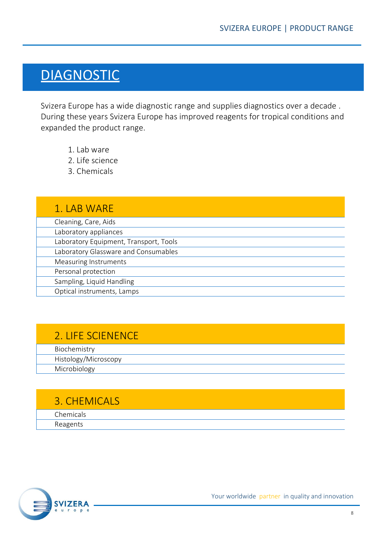# **DIAGNOSTIC**

Svizera Europe has a wide diagnostic range and supplies diagnostics over a decade . During these years Svizera Europe has improved reagents for tropical conditions and expanded the product range.

- 1. Lab ware
- 2. Life science
- 3. Chemicals

| 1. LAB WARE                            |
|----------------------------------------|
| Cleaning, Care, Aids                   |
| Laboratory appliances                  |
| Laboratory Equipment, Transport, Tools |
| Laboratory Glassware and Consumables   |
| Measuring Instruments                  |
| Personal protection                    |
| Sampling, Liquid Handling              |
| Optical instruments, Lamps             |

# 2. LIFE SCIENENCE

Biochemistry

| Histology<br>iviici oscopy    |
|-------------------------------|
| Micre<br>$\sim$ $\sim$ $\sim$ |
|                               |

#### 3. CHEMICALS

Chemicals Reagents

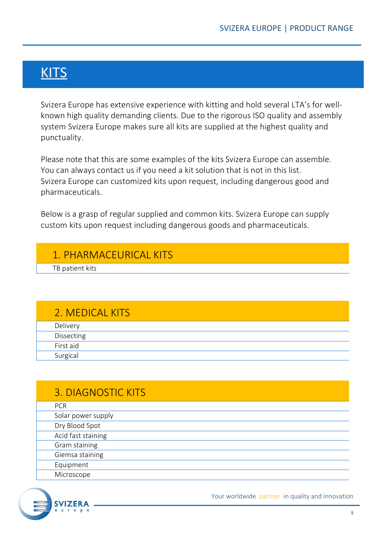# **KITS**

Svizera Europe has extensive experience with kitting and hold several LTA's for wellknown high quality demanding clients. Due to the rigorous ISO quality and assembly system Svizera Europe makes sure all kits are supplied at the highest quality and punctuality.

Please note that this are some examples of the kits Svizera Europe can assemble. You can always contact us if you need a kit solution that is not in this list. Svizera Europe can customized kits upon request, including dangerous good and pharmaceuticals.

Below is a grasp of regular supplied and common kits. Svizera Europe can supply custom kits upon request including dangerous goods and pharmaceuticals.

## 1. PHARMACEURICAL KITS

TB patient kits

#### 2. MEDICAL KITS

| Delivery   |  |
|------------|--|
| Dissecting |  |
| First aid  |  |
| Surgical   |  |

# 3. DIAGNOSTIC KITS

| <b>PCR</b>         |
|--------------------|
| Solar power supply |
| Dry Blood Spot     |
| Acid fast staining |
| Gram staining      |
| Giemsa staining    |
| Equipment          |
| Microscope         |

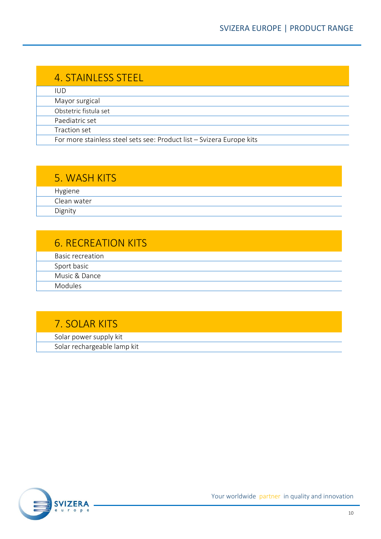| 4. STAINLESS STEEL                                                    |
|-----------------------------------------------------------------------|
| IUD.                                                                  |
| Mayor surgical                                                        |
| Obstetric fistula set                                                 |
| Paediatric set                                                        |
| Traction set                                                          |
| For more stainless steel sets see: Product list - Svizera Europe kits |

#### 5. WASH KITS

Hygiene Clean water Dignity

# 6. RECREATION KITS

| Basic recreation |  |
|------------------|--|
| Sport basic      |  |
| Music & Dance    |  |
| Modules          |  |

# 7. SOLAR KITS

Solar power supply kit

Solar rechargeable lamp kit